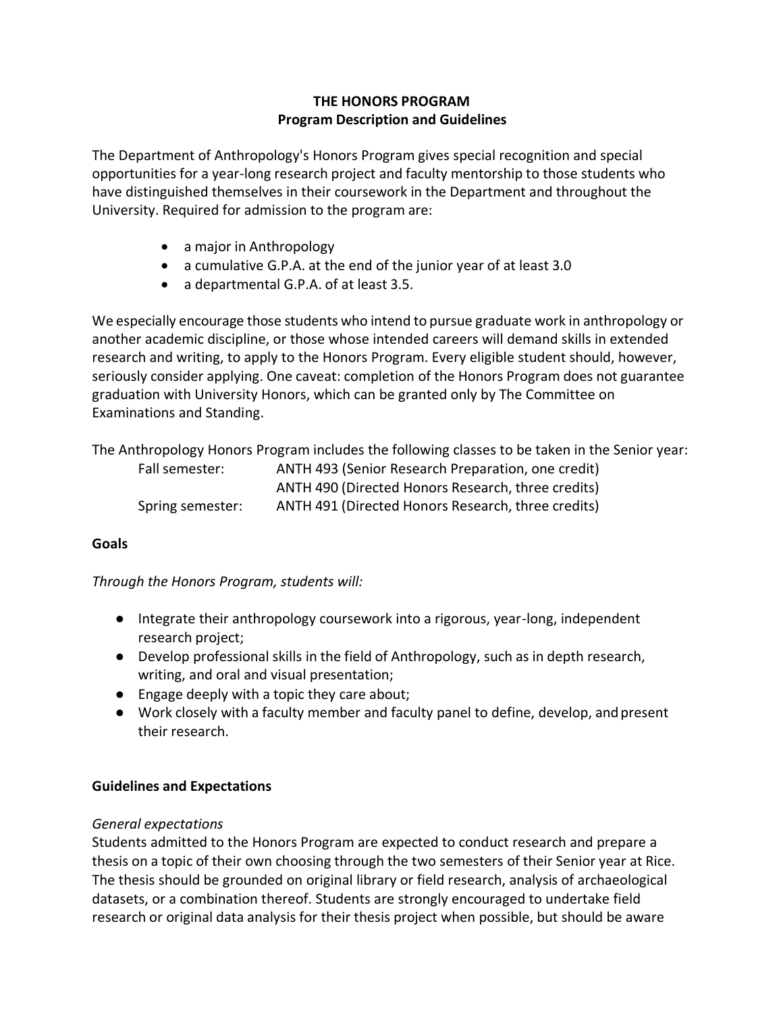# **THE HONORS PROGRAM Program Description and Guidelines**

The Department of Anthropology's Honors Program gives special recognition and special opportunities for a year-long research project and faculty mentorship to those students who have distinguished themselves in their coursework in the Department and throughout the University. Required for admission to the program are:

- a major in Anthropology
- a cumulative G.P.A. at the end of the junior year of at least 3.0
- a departmental G.P.A. of at least 3.5.

We especially encourage those students who intend to pursue graduate work in anthropology or another academic discipline, or those whose intended careers will demand skills in extended research and writing, to apply to the Honors Program. Every eligible student should, however, seriously consider applying. One caveat: completion of the Honors Program does not guarantee graduation with University Honors, which can be granted only by The Committee on Examinations and Standing.

The Anthropology Honors Program includes the following classes to be taken in the Senior year:<br>
Fall consertery and ANTH 403 (Serior Bessersh Programics, and antih) Fall semester: ANTH 493 (Senior Research Preparation, one credit)

| Fall semester:   | ANTH 493 (Senior Research Preparation, one credit) |  |
|------------------|----------------------------------------------------|--|
|                  | ANTH 490 (Directed Honors Research, three credits) |  |
| Spring semester: | ANTH 491 (Directed Honors Research, three credits) |  |

# **Goals**

# *Through the Honors Program, students will:*

- Integrate their anthropology coursework into a rigorous, year-long, independent research project;
- Develop professional skills in the field of Anthropology, such as in depth research, writing, and oral and visual presentation;
- Engage deeply with a topic they care about;
- Work closely with a faculty member and faculty panel to define, develop, and present their research.

# **Guidelines and Expectations**

### *General expectations*

Students admitted to the Honors Program are expected to conduct research and prepare a thesis on a topic of their own choosing through the two semesters of their Senior year at Rice. The thesis should be grounded on original library or field research, analysis of archaeological datasets, or a combination thereof. Students are strongly encouraged to undertake field research or original data analysis for their thesis project when possible, but should be aware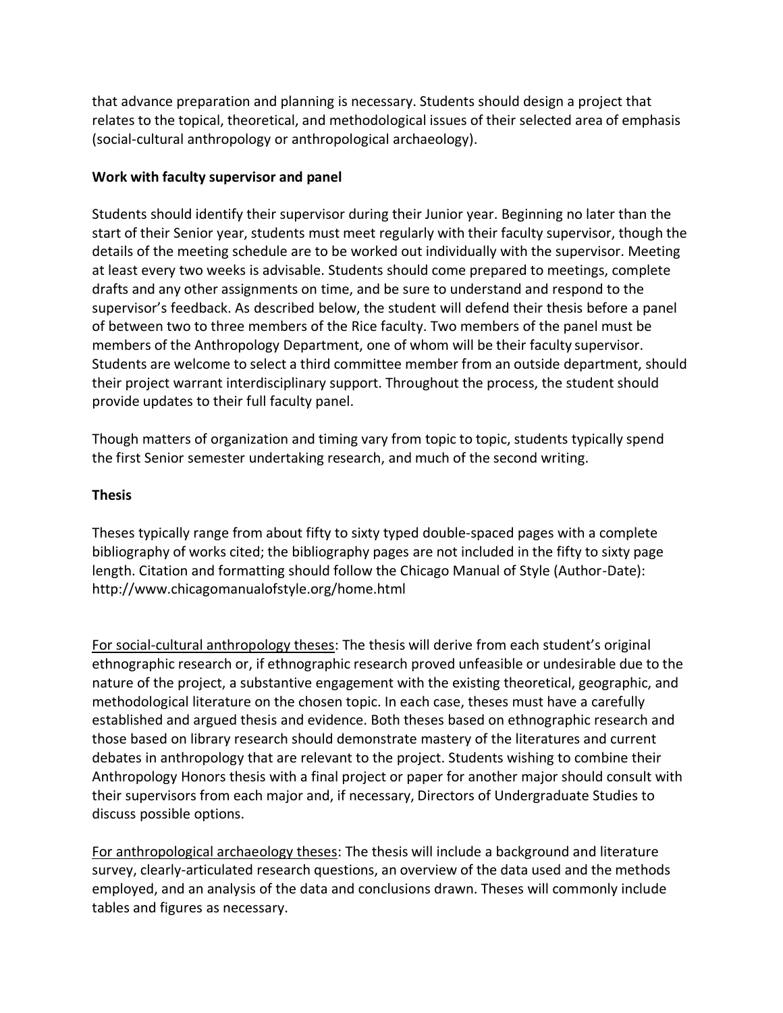that advance preparation and planning is necessary. Students should design a project that relates to the topical, theoretical, and methodological issues of their selected area of emphasis (social-cultural anthropology or anthropological archaeology).

### **Work with faculty supervisor and panel**

Students should identify their supervisor during their Junior year. Beginning no later than the start of their Senior year, students must meet regularly with their faculty supervisor, though the details of the meeting schedule are to be worked out individually with the supervisor. Meeting at least every two weeks is advisable. Students should come prepared to meetings, complete drafts and any other assignments on time, and be sure to understand and respond to the supervisor's feedback. As described below, the student will defend their thesis before a panel of between two to three members of the Rice faculty. Two members of the panel must be members of the Anthropology Department, one of whom will be their faculty supervisor. Students are welcome to select a third committee member from an outside department, should their project warrant interdisciplinary support. Throughout the process, the student should provide updates to their full faculty panel.

Though matters of organization and timing vary from topic to topic, students typically spend the first Senior semester undertaking research, and much of the second writing.

### **Thesis**

Theses typically range from about fifty to sixty typed double-spaced pages with a complete bibliography of works cited; the bibliography pages are not included in the fifty to sixty page length. Citation and formatting should follow the Chicago Manual of Style (Author-Date): <http://www.chicagomanualofstyle.org/home.html>

For social-cultural anthropology theses: The thesis will derive from each student's original ethnographic research or, if ethnographic research proved unfeasible or undesirable due to the nature of the project, a substantive engagement with the existing theoretical, geographic, and methodological literature on the chosen topic. In each case, theses must have a carefully established and argued thesis and evidence. Both theses based on ethnographic research and those based on library research should demonstrate mastery of the literatures and current debates in anthropology that are relevant to the project. Students wishing to combine their Anthropology Honors thesis with a final project or paper for another major should consult with their supervisors from each major and, if necessary, Directors of Undergraduate Studies to discuss possible options.

For anthropological archaeology theses: The thesis will include a background and literature survey, clearly-articulated research questions, an overview of the data used and the methods employed, and an analysis of the data and conclusions drawn. Theses will commonly include tables and figures as necessary.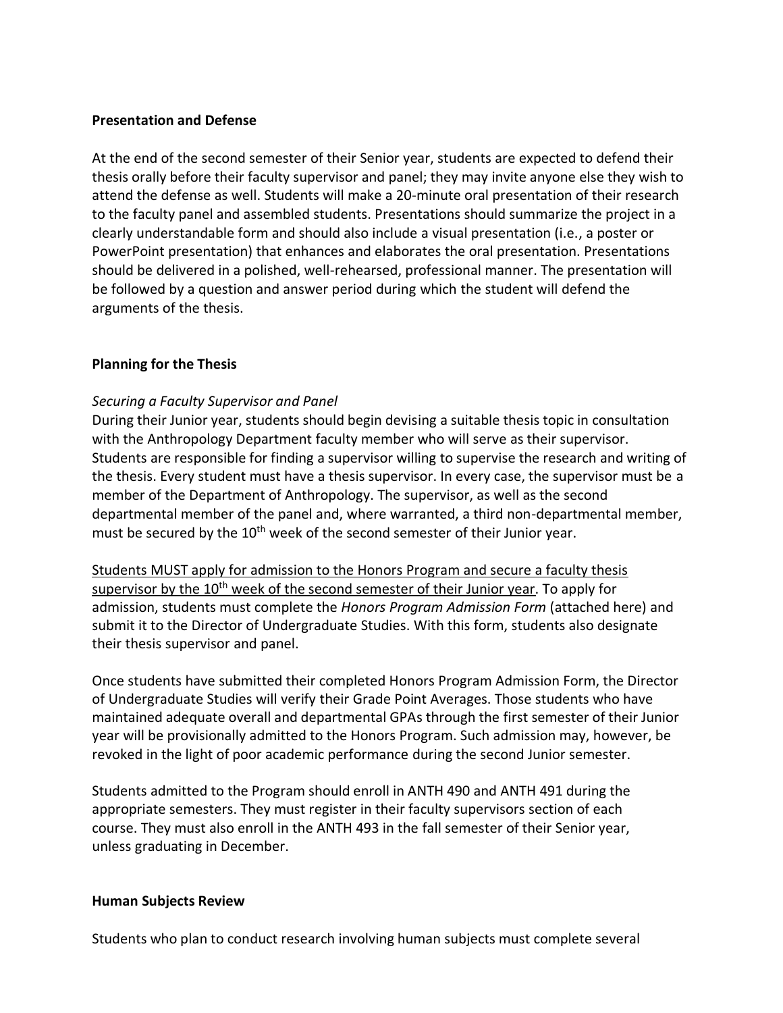#### **Presentation and Defense**

At the end of the second semester of their Senior year, students are expected to defend their thesis orally before their faculty supervisor and panel; they may invite anyone else they wish to attend the defense as well. Students will make a 20-minute oral presentation of their research to the faculty panel and assembled students. Presentations should summarize the project in a clearly understandable form and should also include a visual presentation (i.e., a poster or PowerPoint presentation) that enhances and elaborates the oral presentation. Presentations should be delivered in a polished, well-rehearsed, professional manner. The presentation will be followed by a question and answer period during which the student will defend the arguments of the thesis.

### **Planning for the Thesis**

### *Securing a Faculty Supervisor and Panel*

During their Junior year, students should begin devising a suitable thesis topic in consultation with the Anthropology Department faculty member who will serve as their supervisor. Students are responsible for finding a supervisor willing to supervise the research and writing of the thesis. Every student must have a thesis supervisor. In every case, the supervisor must be a member of the Department of Anthropology. The supervisor, as well as the second departmental member of the panel and, where warranted, a third non-departmental member, must be secured by the 10<sup>th</sup> week of the second semester of their Junior year.

Students MUST apply for admission to the Honors Program and secure a faculty thesis supervisor by the 10<sup>th</sup> week of the second semester of their Junior year. To apply for admission, students must complete the *Honors Program Admission Form* (attached here) and submit it to the Director of Undergraduate Studies. With this form, students also designate their thesis supervisor and panel.

Once students have submitted their completed Honors Program Admission Form, the Director of Undergraduate Studies will verify their Grade Point Averages. Those students who have maintained adequate overall and departmental GPAs through the first semester of their Junior year will be provisionally admitted to the Honors Program. Such admission may, however, be revoked in the light of poor academic performance during the second Junior semester.

Students admitted to the Program should enroll in ANTH 490 and ANTH 491 during the appropriate semesters. They must register in their faculty supervisors section of each course. They must also enroll in the ANTH 493 in the fall semester of their Senior year, unless graduating in December.

#### **Human Subjects Review**

Students who plan to conduct research involving human subjects must complete several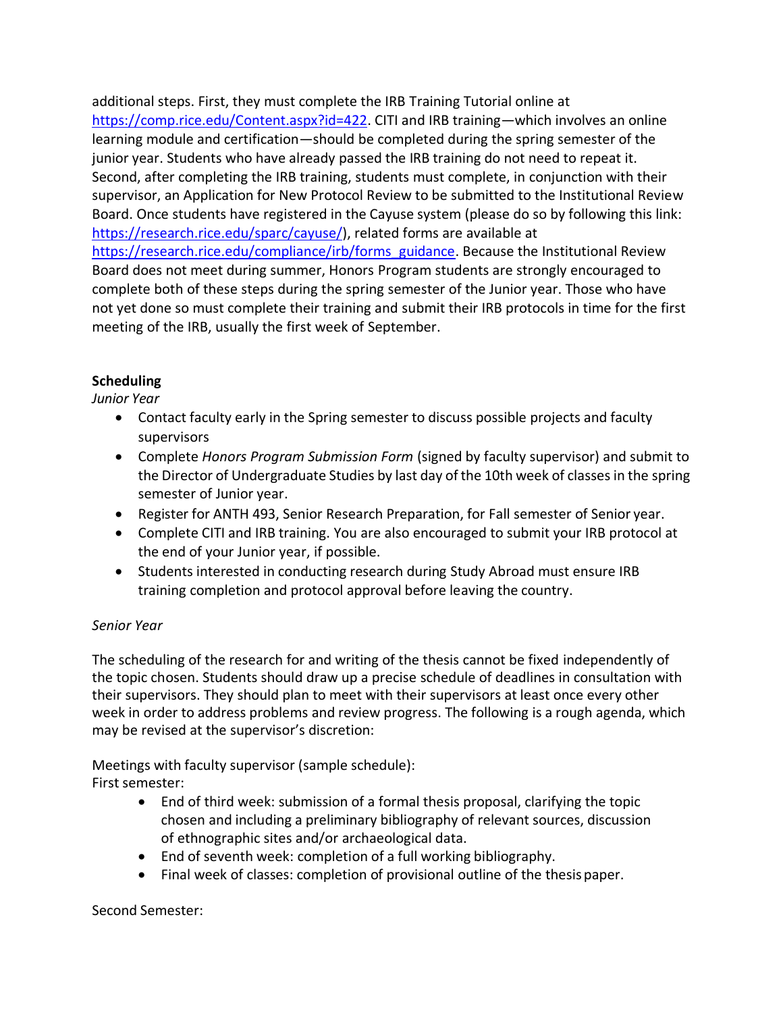additional steps. First, they must complete the IRB Training Tutorial online at [https://comp.rice.edu/Content.aspx?id=422.](https://comp.rice.edu/Content.aspx?id=422) CITI and IRB training—which involves an online learning module and certification—should be completed during the spring semester of the junior year. Students who have already passed the IRB training do not need to repeat it. Second, after completing the IRB training, students must complete, in conjunction with their supervisor, an Application for New Protocol Review to be submitted to the Institutional Review Board. Once students have registered in the Cayuse system (please do so by following this link: [https://research.rice.edu/sparc/cayuse/\)](https://research.rice.edu/sparc/cayuse/), related forms are available at [https://research.rice.edu/compliance/irb/forms\\_guidance.](https://research.rice.edu/compliance/irb/forms_guidance) Because the Institutional Review Board does not meet during summer, Honors Program students are strongly encouraged to complete both of these steps during the spring semester of the Junior year. Those who have not yet done so must complete their training and submit their IRB protocols in time for the first meeting of the IRB, usually the first week of September.

# **Scheduling**

*Junior Year*

- Contact faculty early in the Spring semester to discuss possible projects and faculty supervisors
- Complete *Honors Program Submission Form* (signed by faculty supervisor) and submit to the Director of Undergraduate Studies by last day of the 10th week of classes in the spring semester of Junior year.
- Register for ANTH 493, Senior Research Preparation, for Fall semester of Senior year.
- Complete CITI and IRB training. You are also encouraged to submit your IRB protocol at the end of your Junior year, if possible.
- Students interested in conducting research during Study Abroad must ensure IRB training completion and protocol approval before leaving the country.

# *Senior Year*

The scheduling of the research for and writing of the thesis cannot be fixed independently of the topic chosen. Students should draw up a precise schedule of deadlines in consultation with their supervisors. They should plan to meet with their supervisors at least once every other week in order to address problems and review progress. The following is a rough agenda, which may be revised at the supervisor's discretion:

Meetings with faculty supervisor (sample schedule): First semester:

- End of third week: submission of a formal thesis proposal, clarifying the topic chosen and including a preliminary bibliography of relevant sources, discussion of ethnographic sites and/or archaeological data.
- End of seventh week: completion of a full working bibliography.
- Final week of classes: completion of provisional outline of the thesis paper.

### Second Semester: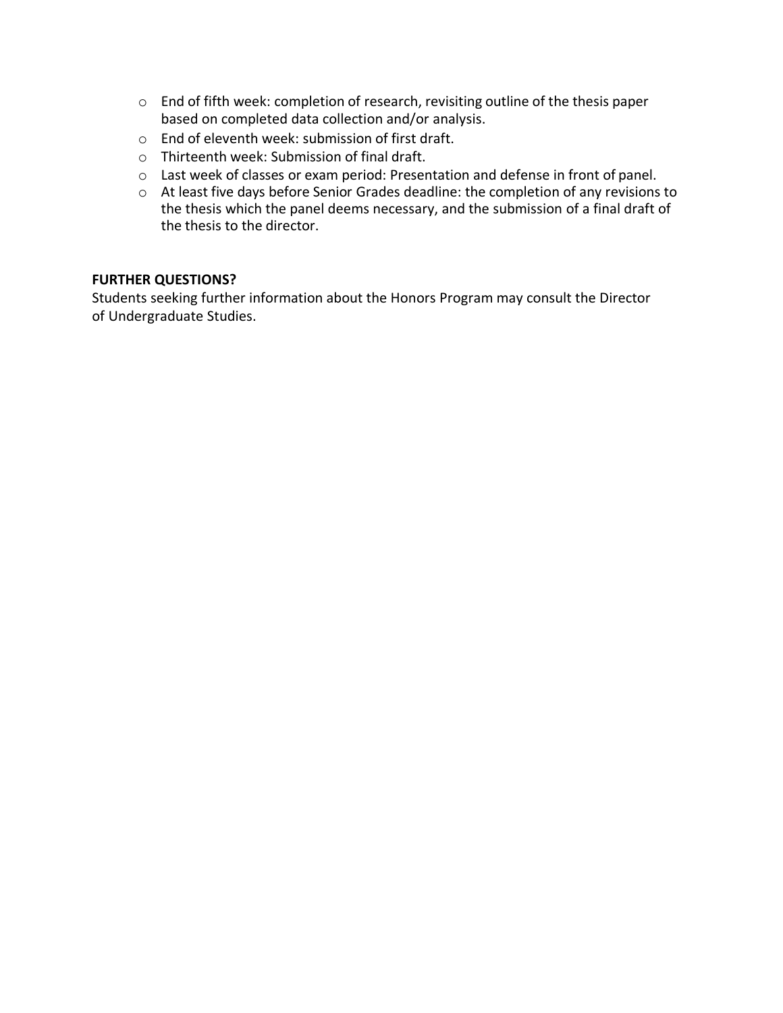- o End of fifth week: completion of research, revisiting outline of the thesis paper based on completed data collection and/or analysis.
- o End of eleventh week: submission of first draft.
- o Thirteenth week: Submission of final draft.
- o Last week of classes or exam period: Presentation and defense in front of panel.
- o At least five days before Senior Grades deadline: the completion of any revisions to the thesis which the panel deems necessary, and the submission of a final draft of the thesis to the director.

### **FURTHER QUESTIONS?**

Students seeking further information about the Honors Program may consult the Director of Undergraduate Studies.